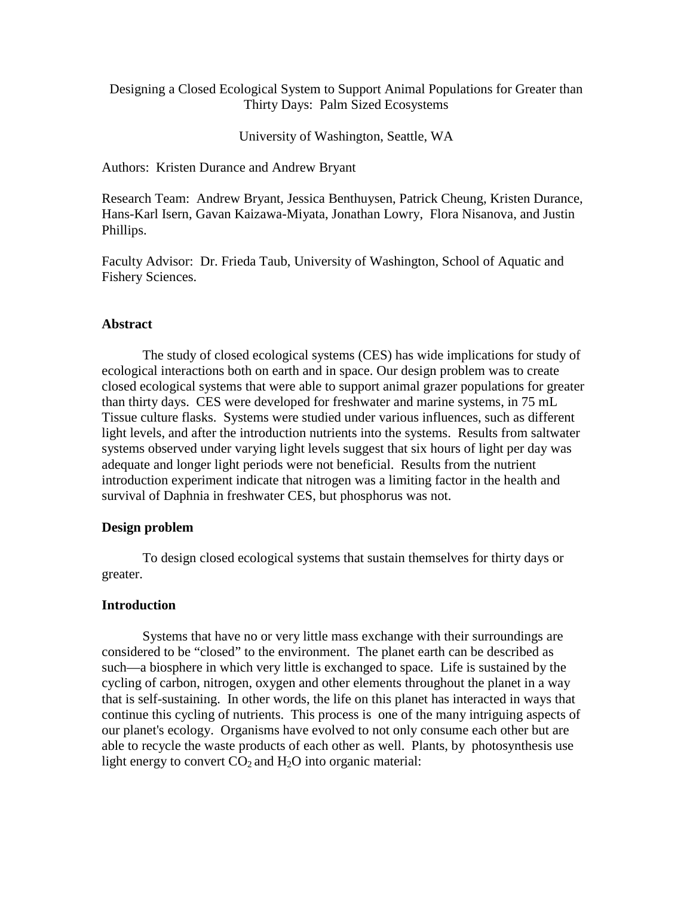Designing a Closed Ecological System to Support Animal Populations for Greater than Thirty Days: Palm Sized Ecosystems

University of Washington, Seattle, WA

Authors: Kristen Durance and Andrew Bryant

Research Team: Andrew Bryant, Jessica Benthuysen, Patrick Cheung, Kristen Durance, Hans-Karl Isern, Gavan Kaizawa-Miyata, Jonathan Lowry, Flora Nisanova, and Justin Phillips.

Faculty Advisor: Dr. Frieda Taub, University of Washington, School of Aquatic and Fishery Sciences.

#### **Abstract**

The study of closed ecological systems (CES) has wide implications for study of ecological interactions both on earth and in space. Our design problem was to create closed ecological systems that were able to support animal grazer populations for greater than thirty days. CES were developed for freshwater and marine systems, in 75 mL Tissue culture flasks. Systems were studied under various influences, such as different light levels, and after the introduction nutrients into the systems. Results from saltwater systems observed under varying light levels suggest that six hours of light per day was adequate and longer light periods were not beneficial. Results from the nutrient introduction experiment indicate that nitrogen was a limiting factor in the health and survival of Daphnia in freshwater CES, but phosphorus was not.

#### **Design problem**

 To design closed ecological systems that sustain themselves for thirty days or greater.

# **Introduction**

 Systems that have no or very little mass exchange with their surroundings are considered to be "closed" to the environment. The planet earth can be described as such—a biosphere in which very little is exchanged to space. Life is sustained by the cycling of carbon, nitrogen, oxygen and other elements throughout the planet in a way that is self-sustaining. In other words, the life on this planet has interacted in ways that continue this cycling of nutrients. This process is one of the many intriguing aspects of our planet's ecology. Organisms have evolved to not only consume each other but are able to recycle the waste products of each other as well. Plants, by photosynthesis use light energy to convert  $CO<sub>2</sub>$  and  $H<sub>2</sub>O$  into organic material: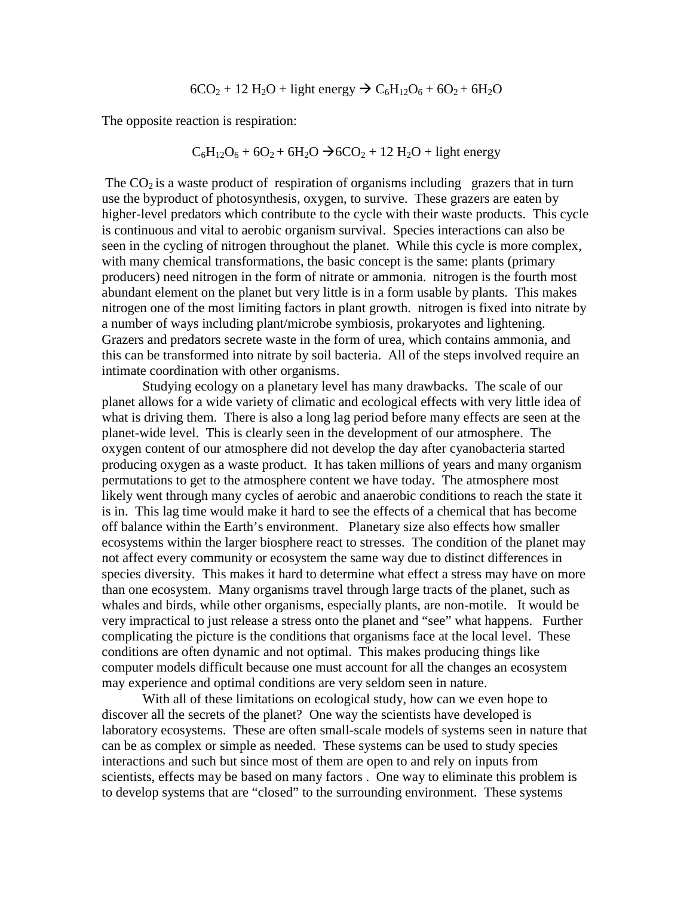$$
6CO2 + 12 H2O + light energy  $\rightarrow$  C<sub>6</sub>H<sub>12</sub>O<sub>6</sub> + 6O<sub>2</sub> + 6H<sub>2</sub>O
$$

The opposite reaction is respiration:

$$
C_6H_{12}O_6 + 6O_2 + 6H_2O \rightarrow 6CO_2 + 12 H_2O + light energy
$$

The  $CO<sub>2</sub>$  is a waste product of respiration of organisms including grazers that in turn use the byproduct of photosynthesis, oxygen, to survive. These grazers are eaten by higher-level predators which contribute to the cycle with their waste products. This cycle is continuous and vital to aerobic organism survival. Species interactions can also be seen in the cycling of nitrogen throughout the planet. While this cycle is more complex, with many chemical transformations, the basic concept is the same: plants (primary producers) need nitrogen in the form of nitrate or ammonia. nitrogen is the fourth most abundant element on the planet but very little is in a form usable by plants. This makes nitrogen one of the most limiting factors in plant growth. nitrogen is fixed into nitrate by a number of ways including plant/microbe symbiosis, prokaryotes and lightening. Grazers and predators secrete waste in the form of urea, which contains ammonia, and this can be transformed into nitrate by soil bacteria. All of the steps involved require an intimate coordination with other organisms.

 Studying ecology on a planetary level has many drawbacks. The scale of our planet allows for a wide variety of climatic and ecological effects with very little idea of what is driving them. There is also a long lag period before many effects are seen at the planet-wide level. This is clearly seen in the development of our atmosphere. The oxygen content of our atmosphere did not develop the day after cyanobacteria started producing oxygen as a waste product. It has taken millions of years and many organism permutations to get to the atmosphere content we have today. The atmosphere most likely went through many cycles of aerobic and anaerobic conditions to reach the state it is in. This lag time would make it hard to see the effects of a chemical that has become off balance within the Earth's environment. Planetary size also effects how smaller ecosystems within the larger biosphere react to stresses. The condition of the planet may not affect every community or ecosystem the same way due to distinct differences in species diversity. This makes it hard to determine what effect a stress may have on more than one ecosystem. Many organisms travel through large tracts of the planet, such as whales and birds, while other organisms, especially plants, are non-motile. It would be very impractical to just release a stress onto the planet and "see" what happens. Further complicating the picture is the conditions that organisms face at the local level. These conditions are often dynamic and not optimal. This makes producing things like computer models difficult because one must account for all the changes an ecosystem may experience and optimal conditions are very seldom seen in nature.

 With all of these limitations on ecological study, how can we even hope to discover all the secrets of the planet? One way the scientists have developed is laboratory ecosystems. These are often small-scale models of systems seen in nature that can be as complex or simple as needed. These systems can be used to study species interactions and such but since most of them are open to and rely on inputs from scientists, effects may be based on many factors . One way to eliminate this problem is to develop systems that are "closed" to the surrounding environment. These systems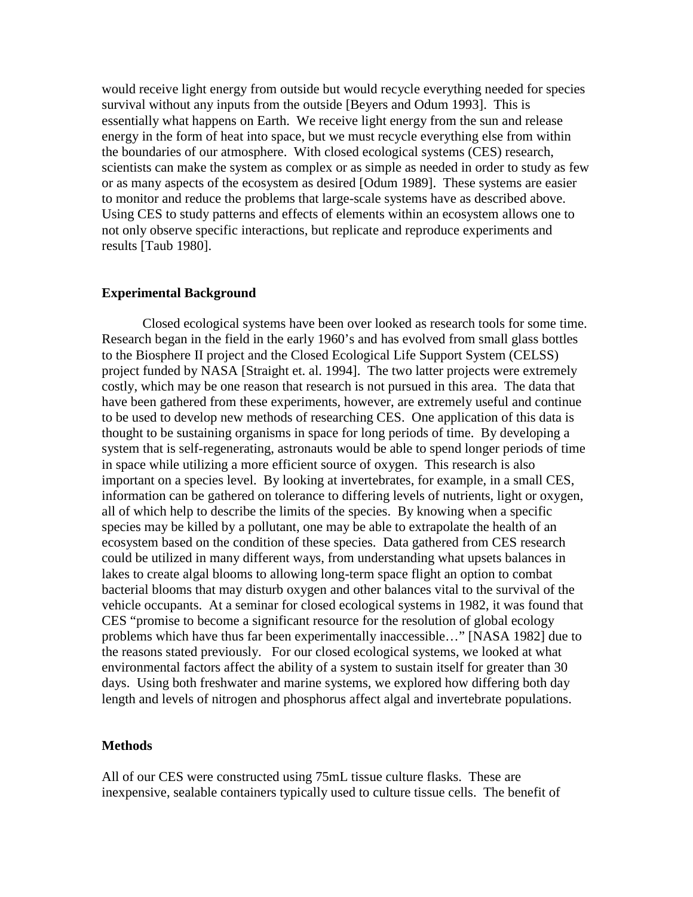would receive light energy from outside but would recycle everything needed for species survival without any inputs from the outside [Beyers and Odum 1993]. This is essentially what happens on Earth. We receive light energy from the sun and release energy in the form of heat into space, but we must recycle everything else from within the boundaries of our atmosphere. With closed ecological systems (CES) research, scientists can make the system as complex or as simple as needed in order to study as few or as many aspects of the ecosystem as desired [Odum 1989]. These systems are easier to monitor and reduce the problems that large-scale systems have as described above. Using CES to study patterns and effects of elements within an ecosystem allows one to not only observe specific interactions, but replicate and reproduce experiments and results [Taub 1980].

#### **Experimental Background**

 Closed ecological systems have been over looked as research tools for some time. Research began in the field in the early 1960's and has evolved from small glass bottles to the Biosphere II project and the Closed Ecological Life Support System (CELSS) project funded by NASA [Straight et. al. 1994]. The two latter projects were extremely costly, which may be one reason that research is not pursued in this area. The data that have been gathered from these experiments, however, are extremely useful and continue to be used to develop new methods of researching CES. One application of this data is thought to be sustaining organisms in space for long periods of time. By developing a system that is self-regenerating, astronauts would be able to spend longer periods of time in space while utilizing a more efficient source of oxygen. This research is also important on a species level. By looking at invertebrates, for example, in a small CES, information can be gathered on tolerance to differing levels of nutrients, light or oxygen, all of which help to describe the limits of the species. By knowing when a specific species may be killed by a pollutant, one may be able to extrapolate the health of an ecosystem based on the condition of these species. Data gathered from CES research could be utilized in many different ways, from understanding what upsets balances in lakes to create algal blooms to allowing long-term space flight an option to combat bacterial blooms that may disturb oxygen and other balances vital to the survival of the vehicle occupants. At a seminar for closed ecological systems in 1982, it was found that CES "promise to become a significant resource for the resolution of global ecology problems which have thus far been experimentally inaccessible…" [NASA 1982] due to the reasons stated previously. For our closed ecological systems, we looked at what environmental factors affect the ability of a system to sustain itself for greater than 30 days. Using both freshwater and marine systems, we explored how differing both day length and levels of nitrogen and phosphorus affect algal and invertebrate populations.

#### **Methods**

All of our CES were constructed using 75mL tissue culture flasks. These are inexpensive, sealable containers typically used to culture tissue cells. The benefit of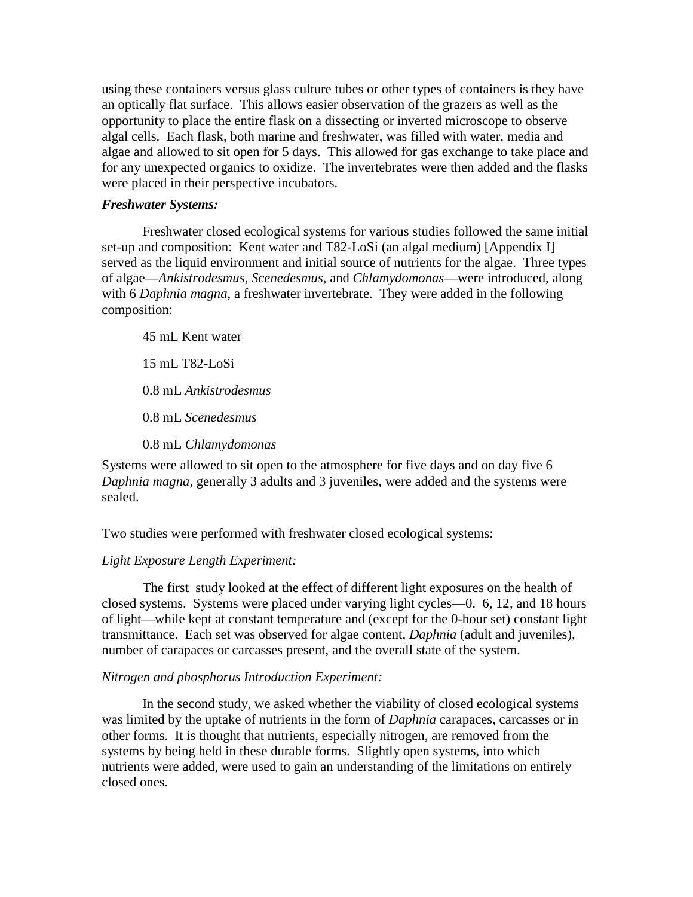using these containers versus glass culture tubes or other types of containers is they have an optically flat surface. This allows easier observation of the grazers as well as the opportunity to place the entire flask on a dissecting or inverted microscope to observe algal cells. Each flask, both marine and freshwater, was filled with water, media and algae and allowed to sit open for 5 days. This allowed for gas exchange to take place and for any unexpected organics to oxidize. The invertebrates were then added and the flasks were placed in their perspective incubators.

# *Freshwater Systems:*

 Freshwater closed ecological systems for various studies followed the same initial set-up and composition: Kent water and T82-LoSi (an algal medium) [Appendix I] served as the liquid environment and initial source of nutrients for the algae. Three types of algae—*Ankistrodesmus*, *Scenedesmus*, and *Chlamydomonas*—were introduced, along with 6 *Daphnia magna*, a freshwater invertebrate. They were added in the following composition:

 45 mL Kent water 15 mL T82-LoSi 0.8 mL *Ankistrodesmus*  0.8 mL *Scenedesmus*  0.8 mL *Chlamydomonas*

Systems were allowed to sit open to the atmosphere for five days and on day five 6 *Daphnia magna,* generally 3 adults and 3 juveniles, were added and the systems were sealed.

Two studies were performed with freshwater closed ecological systems:

# *Light Exposure Length Experiment:*

The first study looked at the effect of different light exposures on the health of closed systems. Systems were placed under varying light cycles—0, 6, 12, and 18 hours of light—while kept at constant temperature and (except for the 0-hour set) constant light transmittance. Each set was observed for algae content, *Daphnia* (adult and juveniles), number of carapaces or carcasses present, and the overall state of the system.

# *Nitrogen and phosphorus Introduction Experiment:*

In the second study, we asked whether the viability of closed ecological systems was limited by the uptake of nutrients in the form of *Daphnia* carapaces, carcasses or in other forms. It is thought that nutrients, especially nitrogen, are removed from the systems by being held in these durable forms. Slightly open systems, into which nutrients were added, were used to gain an understanding of the limitations on entirely closed ones.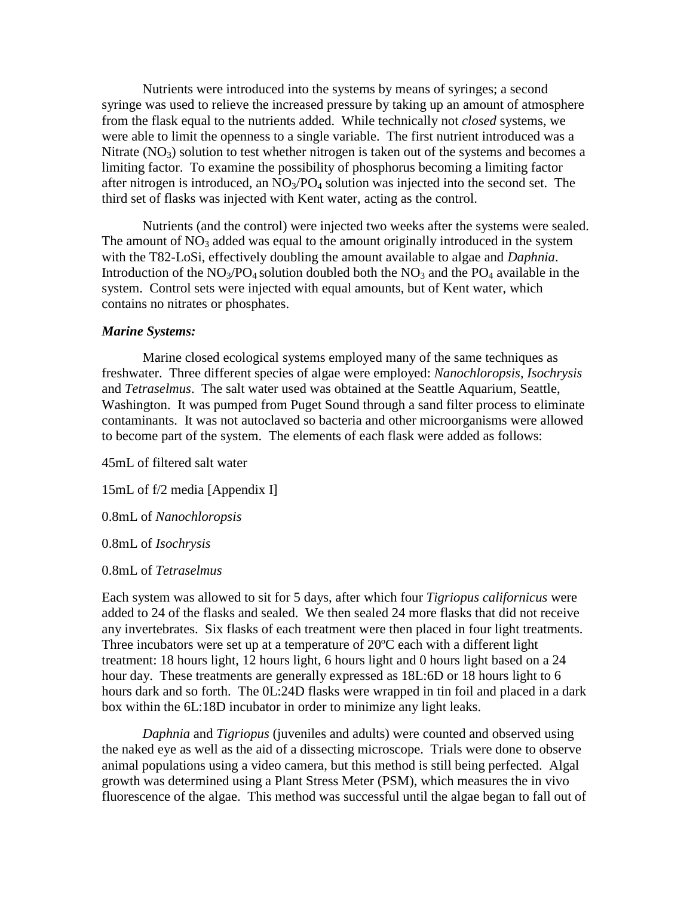Nutrients were introduced into the systems by means of syringes; a second syringe was used to relieve the increased pressure by taking up an amount of atmosphere from the flask equal to the nutrients added. While technically not *closed* systems, we were able to limit the openness to a single variable. The first nutrient introduced was a Nitrate  $(NO_3)$  solution to test whether nitrogen is taken out of the systems and becomes a limiting factor. To examine the possibility of phosphorus becoming a limiting factor after nitrogen is introduced, an  $NO_3/PO_4$  solution was injected into the second set. The third set of flasks was injected with Kent water, acting as the control.

Nutrients (and the control) were injected two weeks after the systems were sealed. The amount of  $NO<sub>3</sub>$  added was equal to the amount originally introduced in the system with the T82-LoSi, effectively doubling the amount available to algae and *Daphnia*. Introduction of the  $NO<sub>3</sub>/PO<sub>4</sub>$  solution doubled both the  $NO<sub>3</sub>$  and the  $PO<sub>4</sub>$  available in the system. Control sets were injected with equal amounts, but of Kent water, which contains no nitrates or phosphates.

#### *Marine Systems:*

Marine closed ecological systems employed many of the same techniques as freshwater. Three different species of algae were employed: *Nanochloropsis, Isochrysis*  and *Tetraselmus*. The salt water used was obtained at the Seattle Aquarium, Seattle, Washington. It was pumped from Puget Sound through a sand filter process to eliminate contaminants. It was not autoclaved so bacteria and other microorganisms were allowed to become part of the system. The elements of each flask were added as follows:

45mL of filtered salt water

15mL of f/2 media [Appendix I]

0.8mL of *Nanochloropsis*

0.8mL of *Isochrysis* 

0.8mL of *Tetraselmus* 

Each system was allowed to sit for 5 days, after which four *Tigriopus californicus* were added to 24 of the flasks and sealed. We then sealed 24 more flasks that did not receive any invertebrates. Six flasks of each treatment were then placed in four light treatments. Three incubators were set up at a temperature of 20ºC each with a different light treatment: 18 hours light, 12 hours light, 6 hours light and 0 hours light based on a 24 hour day. These treatments are generally expressed as 18L:6D or 18 hours light to 6 hours dark and so forth. The 0L:24D flasks were wrapped in tin foil and placed in a dark box within the 6L:18D incubator in order to minimize any light leaks.

*Daphnia* and *Tigriopus* (juveniles and adults) were counted and observed using the naked eye as well as the aid of a dissecting microscope. Trials were done to observe animal populations using a video camera, but this method is still being perfected. Algal growth was determined using a Plant Stress Meter (PSM), which measures the in vivo fluorescence of the algae. This method was successful until the algae began to fall out of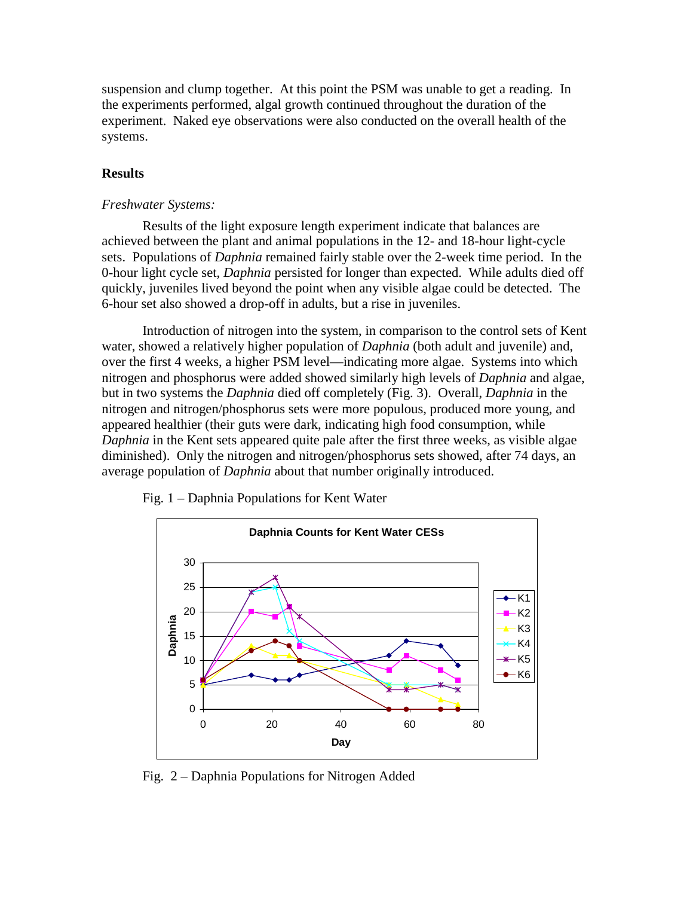suspension and clump together. At this point the PSM was unable to get a reading. In the experiments performed, algal growth continued throughout the duration of the experiment. Naked eye observations were also conducted on the overall health of the systems.

# **Results**

# *Freshwater Systems:*

 Results of the light exposure length experiment indicate that balances are achieved between the plant and animal populations in the 12- and 18-hour light-cycle sets. Populations of *Daphnia* remained fairly stable over the 2-week time period. In the 0-hour light cycle set, *Daphnia* persisted for longer than expected. While adults died off quickly, juveniles lived beyond the point when any visible algae could be detected. The 6-hour set also showed a drop-off in adults, but a rise in juveniles.

Introduction of nitrogen into the system, in comparison to the control sets of Kent water, showed a relatively higher population of *Daphnia* (both adult and juvenile) and, over the first 4 weeks, a higher PSM level—indicating more algae. Systems into which nitrogen and phosphorus were added showed similarly high levels of *Daphnia* and algae, but in two systems the *Daphnia* died off completely (Fig. 3). Overall, *Daphnia* in the nitrogen and nitrogen/phosphorus sets were more populous, produced more young, and appeared healthier (their guts were dark, indicating high food consumption, while *Daphnia* in the Kent sets appeared quite pale after the first three weeks, as visible algae diminished). Only the nitrogen and nitrogen/phosphorus sets showed, after 74 days, an average population of *Daphnia* about that number originally introduced.



Fig. 1 – Daphnia Populations for Kent Water

Fig. 2 – Daphnia Populations for Nitrogen Added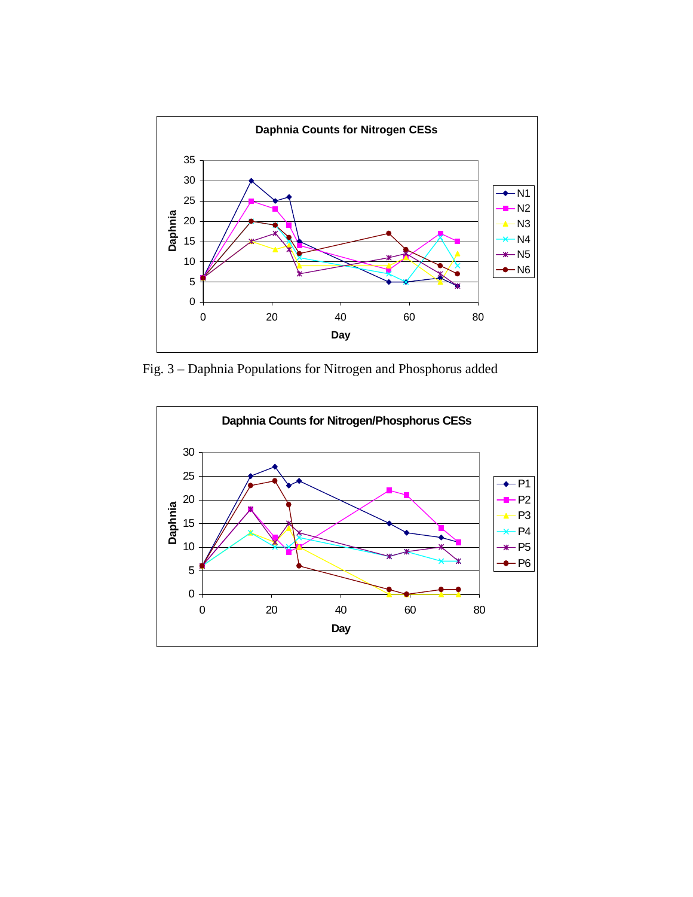

Fig. 3 – Daphnia Populations for Nitrogen and Phosphorus added

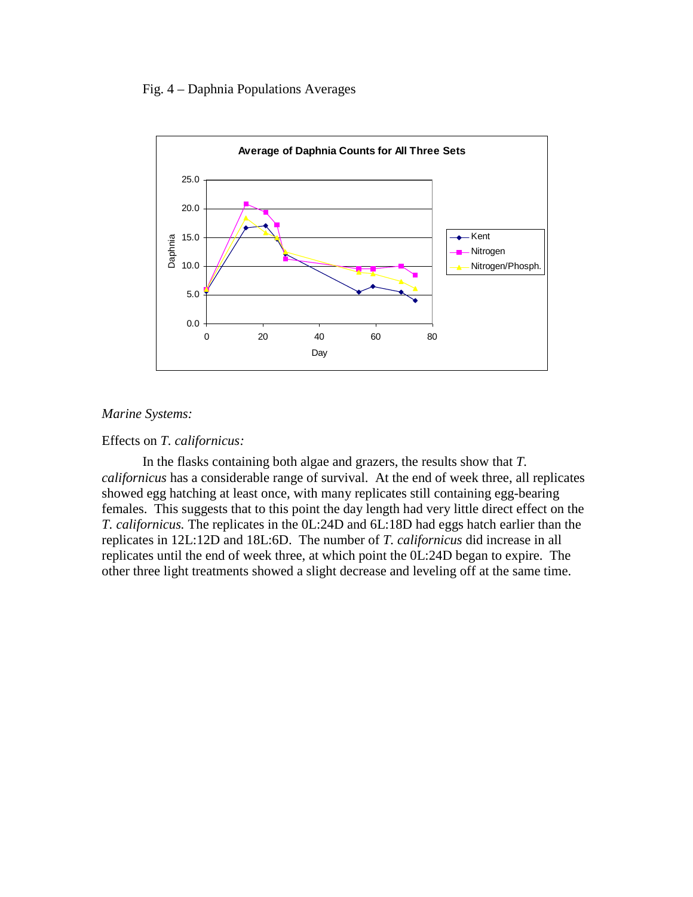# Fig. 4 – Daphnia Populations Averages



# *Marine Systems:*

# Effects on *T. californicus:*

 In the flasks containing both algae and grazers, the results show that *T. californicus* has a considerable range of survival. At the end of week three, all replicates showed egg hatching at least once, with many replicates still containing egg-bearing females. This suggests that to this point the day length had very little direct effect on the *T. californicus.* The replicates in the 0L:24D and 6L:18D had eggs hatch earlier than the replicates in 12L:12D and 18L:6D. The number of *T. californicus* did increase in all replicates until the end of week three, at which point the 0L:24D began to expire. The other three light treatments showed a slight decrease and leveling off at the same time.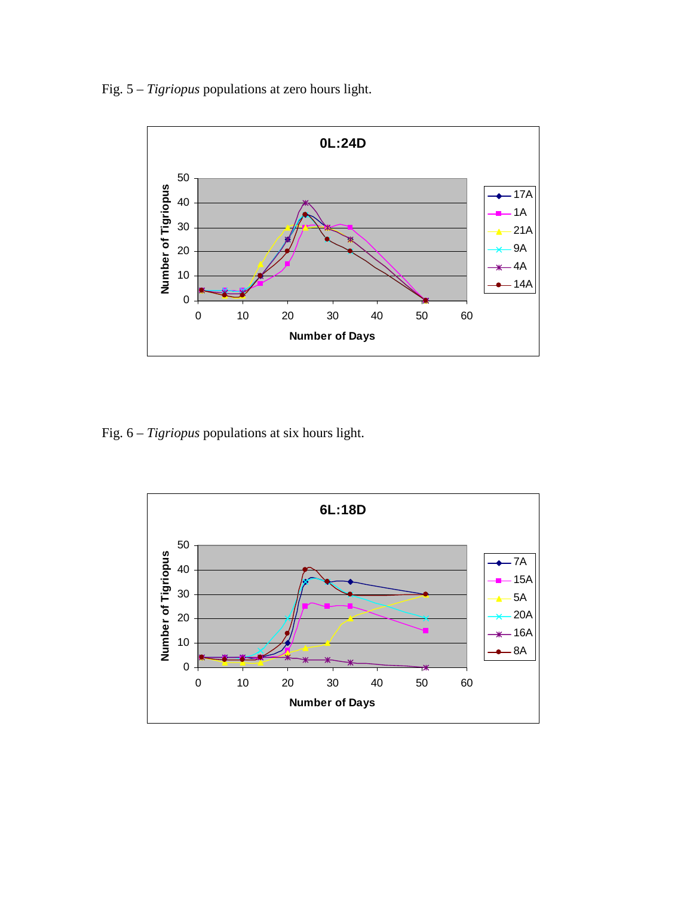Fig. 5 – *Tigriopus* populations at zero hours light.



Fig. 6 – *Tigriopus* populations at six hours light.

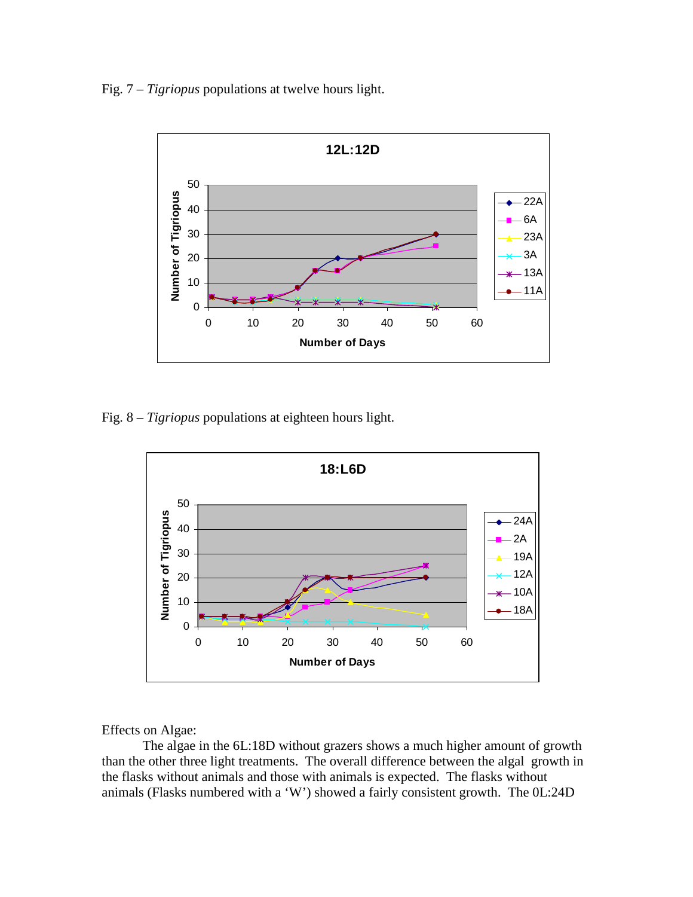Fig. 7 – *Tigriopus* populations at twelve hours light.



Fig. 8 – *Tigriopus* populations at eighteen hours light.



Effects on Algae:

 The algae in the 6L:18D without grazers shows a much higher amount of growth than the other three light treatments. The overall difference between the algal growth in the flasks without animals and those with animals is expected. The flasks without animals (Flasks numbered with a 'W') showed a fairly consistent growth. The 0L:24D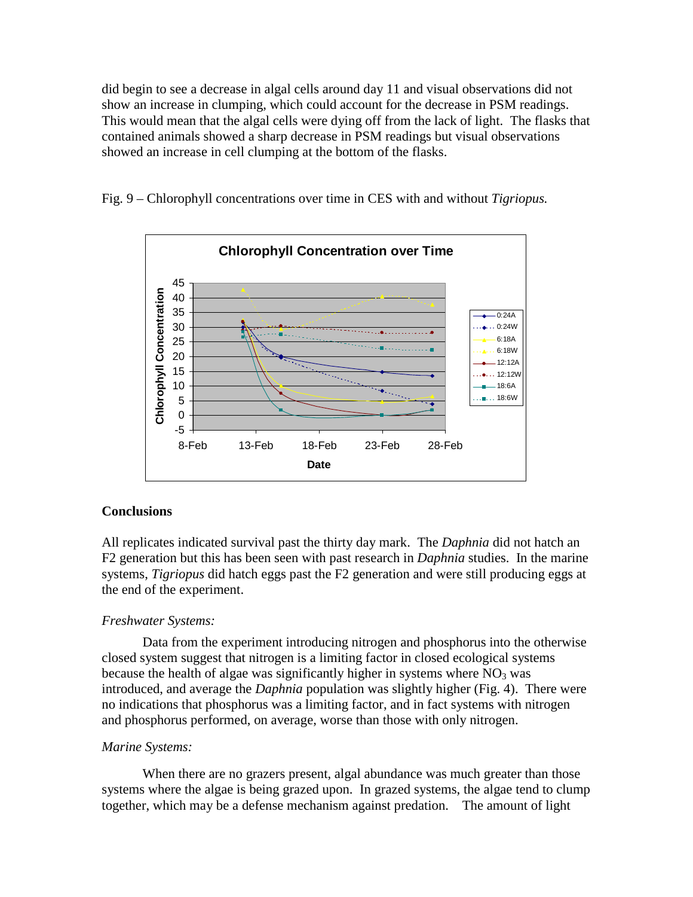did begin to see a decrease in algal cells around day 11 and visual observations did not show an increase in clumping, which could account for the decrease in PSM readings. This would mean that the algal cells were dying off from the lack of light. The flasks that contained animals showed a sharp decrease in PSM readings but visual observations showed an increase in cell clumping at the bottom of the flasks.

Fig. 9 – Chlorophyll concentrations over time in CES with and without *Tigriopus.*



# **Conclusions**

All replicates indicated survival past the thirty day mark. The *Daphnia* did not hatch an F2 generation but this has been seen with past research in *Daphnia* studies. In the marine systems, *Tigriopus* did hatch eggs past the F2 generation and were still producing eggs at the end of the experiment.

# *Freshwater Systems:*

 Data from the experiment introducing nitrogen and phosphorus into the otherwise closed system suggest that nitrogen is a limiting factor in closed ecological systems because the health of algae was significantly higher in systems where  $NO<sub>3</sub>$  was introduced, and average the *Daphnia* population was slightly higher (Fig. 4). There were no indications that phosphorus was a limiting factor, and in fact systems with nitrogen and phosphorus performed, on average, worse than those with only nitrogen.

# *Marine Systems:*

 When there are no grazers present, algal abundance was much greater than those systems where the algae is being grazed upon. In grazed systems, the algae tend to clump together, which may be a defense mechanism against predation. The amount of light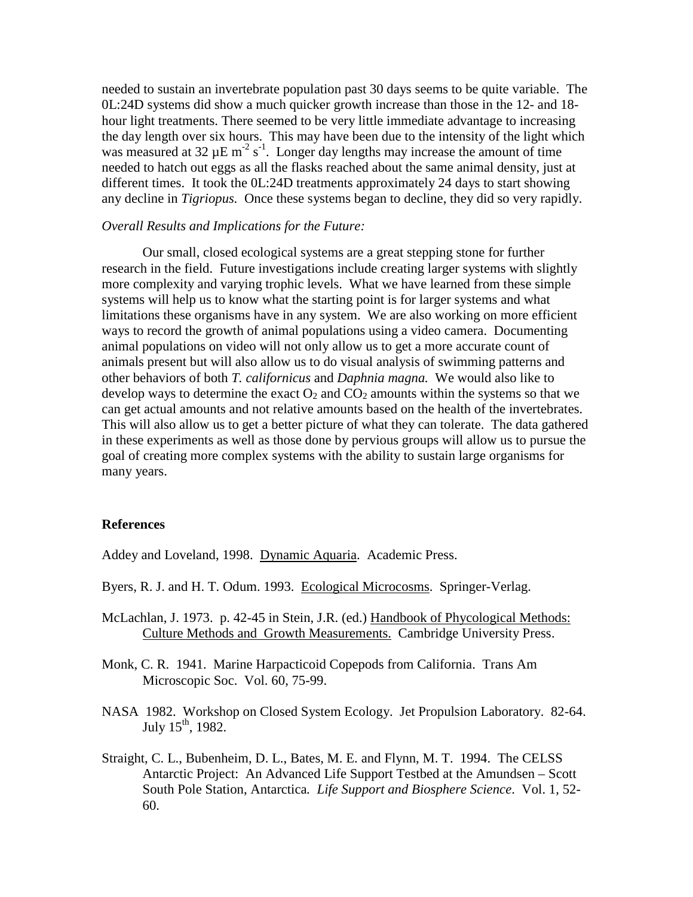needed to sustain an invertebrate population past 30 days seems to be quite variable. The 0L:24D systems did show a much quicker growth increase than those in the 12- and 18 hour light treatments. There seemed to be very little immediate advantage to increasing the day length over six hours. This may have been due to the intensity of the light which was measured at 32  $\mu$ E m<sup>-2</sup> s<sup>-1</sup>. Longer day lengths may increase the amount of time needed to hatch out eggs as all the flasks reached about the same animal density, just at different times. It took the 0L:24D treatments approximately 24 days to start showing any decline in *Tigriopus.* Once these systems began to decline, they did so very rapidly.

# *Overall Results and Implications for the Future:*

Our small, closed ecological systems are a great stepping stone for further research in the field. Future investigations include creating larger systems with slightly more complexity and varying trophic levels. What we have learned from these simple systems will help us to know what the starting point is for larger systems and what limitations these organisms have in any system. We are also working on more efficient ways to record the growth of animal populations using a video camera. Documenting animal populations on video will not only allow us to get a more accurate count of animals present but will also allow us to do visual analysis of swimming patterns and other behaviors of both *T. californicus* and *Daphnia magna.* We would also like to develop ways to determine the exact  $O_2$  and  $CO_2$  amounts within the systems so that we can get actual amounts and not relative amounts based on the health of the invertebrates. This will also allow us to get a better picture of what they can tolerate. The data gathered in these experiments as well as those done by pervious groups will allow us to pursue the goal of creating more complex systems with the ability to sustain large organisms for many years.

# **References**

Addey and Loveland, 1998. Dynamic Aquaria. Academic Press.

- Byers, R. J. and H. T. Odum. 1993. Ecological Microcosms. Springer-Verlag.
- McLachlan, J. 1973. p. 42-45 in Stein, J.R. (ed.) Handbook of Phycological Methods: Culture Methods and Growth Measurements. Cambridge University Press.
- Monk, C. R. 1941. Marine Harpacticoid Copepods from California. Trans Am Microscopic Soc. Vol. 60, 75-99.
- NASA 1982. Workshop on Closed System Ecology. Jet Propulsion Laboratory. 82-64. July  $15^{th}$ , 1982.
- Straight, C. L., Bubenheim, D. L., Bates, M. E. and Flynn, M. T. 1994. The CELSS Antarctic Project: An Advanced Life Support Testbed at the Amundsen – Scott South Pole Station, Antarctica*. Life Support and Biosphere Science*. Vol. 1, 52- 60.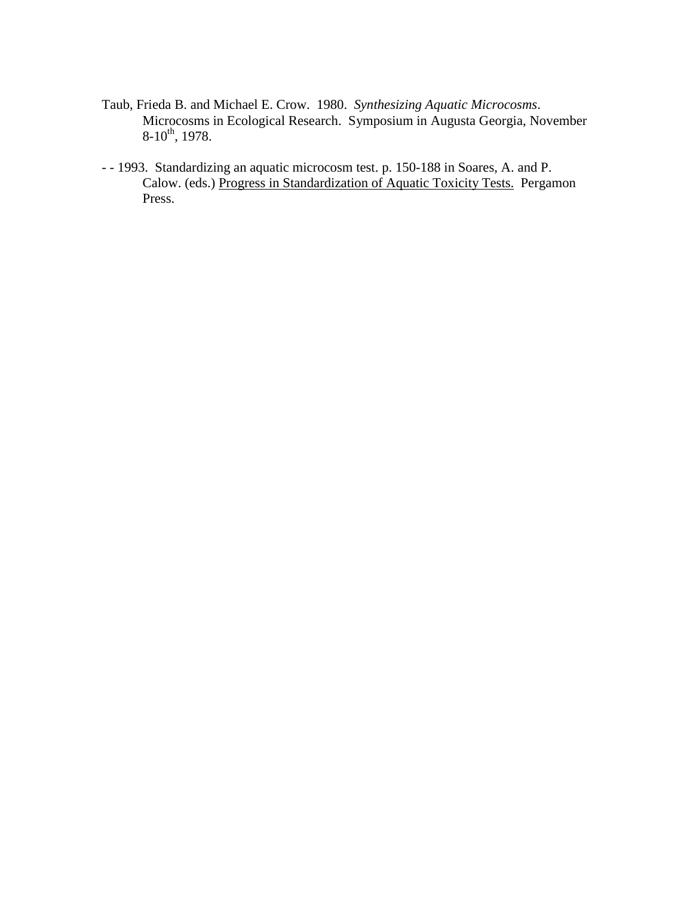- Taub, Frieda B. and Michael E. Crow. 1980. *Synthesizing Aquatic Microcosms*. Microcosms in Ecological Research. Symposium in Augusta Georgia, November  $8-10^{th}$ , 1978.
- - 1993. Standardizing an aquatic microcosm test. p. 150-188 in Soares, A. and P. Calow. (eds.) Progress in Standardization of Aquatic Toxicity Tests. Pergamon Press.